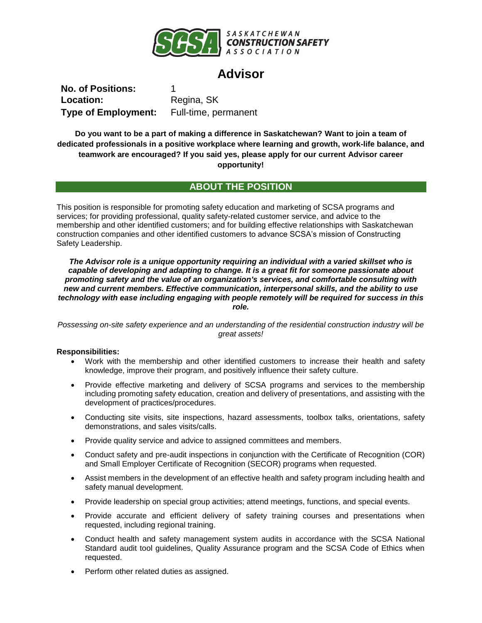

# **Advisor**

**No. of Positions:** 1 Location: Regina, SK **Type of Employment:** Full-time, permanent

**Do you want to be a part of making a difference in Saskatchewan? Want to join a team of dedicated professionals in a positive workplace where learning and growth, work-life balance, and teamwork are encouraged? If you said yes, please apply for our current Advisor career opportunity!**

## **ABOUT THE POSITION**

This position is responsible for promoting safety education and marketing of SCSA programs and services; for providing professional, quality safety-related customer service, and advice to the membership and other identified customers; and for building effective relationships with Saskatchewan construction companies and other identified customers to advance SCSA's mission of Constructing Safety Leadership.

*The Advisor role is a unique opportunity requiring an individual with a varied skillset who is capable of developing and adapting to change. It is a great fit for someone passionate about promoting safety and the value of an organization's services, and comfortable consulting with new and current members. Effective communication, interpersonal skills, and the ability to use technology with ease including engaging with people remotely will be required for success in this role.*

*Possessing on-site safety experience and an understanding of the residential construction industry will be great assets!*

## **Responsibilities:**

- Work with the membership and other identified customers to increase their health and safety knowledge, improve their program, and positively influence their safety culture.
- Provide effective marketing and delivery of SCSA programs and services to the membership including promoting safety education, creation and delivery of presentations, and assisting with the development of practices/procedures.
- Conducting site visits, site inspections, hazard assessments, toolbox talks, orientations, safety demonstrations, and sales visits/calls.
- Provide quality service and advice to assigned committees and members.
- Conduct safety and pre-audit inspections in conjunction with the Certificate of Recognition (COR) and Small Employer Certificate of Recognition (SECOR) programs when requested.
- Assist members in the development of an effective health and safety program including health and safety manual development.
- Provide leadership on special group activities; attend meetings, functions, and special events.
- Provide accurate and efficient delivery of safety training courses and presentations when requested, including regional training.
- Conduct health and safety management system audits in accordance with the SCSA National Standard audit tool guidelines, Quality Assurance program and the SCSA Code of Ethics when requested.
- Perform other related duties as assigned.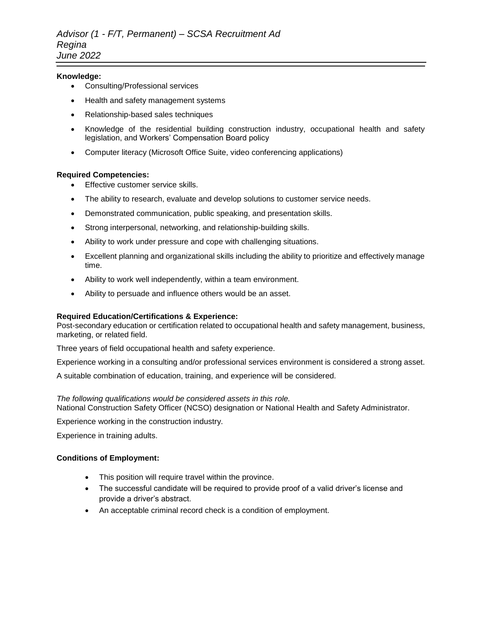#### **Knowledge:**

- Consulting/Professional services
- Health and safety management systems
- Relationship-based sales techniques
- Knowledge of the residential building construction industry, occupational health and safety legislation, and Workers' Compensation Board policy
- Computer literacy (Microsoft Office Suite, video conferencing applications)

### **Required Competencies:**

- Effective customer service skills.
- The ability to research, evaluate and develop solutions to customer service needs.
- Demonstrated communication, public speaking, and presentation skills.
- Strong interpersonal, networking, and relationship-building skills.
- Ability to work under pressure and cope with challenging situations.
- Excellent planning and organizational skills including the ability to prioritize and effectively manage time.
- Ability to work well independently, within a team environment.
- Ability to persuade and influence others would be an asset.

## **Required Education/Certifications & Experience:**

Post-secondary education or certification related to occupational health and safety management, business, marketing, or related field.

Three years of field occupational health and safety experience.

Experience working in a consulting and/or professional services environment is considered a strong asset.

A suitable combination of education, training, and experience will be considered.

#### *The following qualifications would be considered assets in this role.*

National Construction Safety Officer (NCSO) designation or National Health and Safety Administrator.

Experience working in the construction industry.

Experience in training adults.

#### **Conditions of Employment:**

- This position will require travel within the province.
- The successful candidate will be required to provide proof of a valid driver's license and provide a driver's abstract.
- An acceptable criminal record check is a condition of employment.